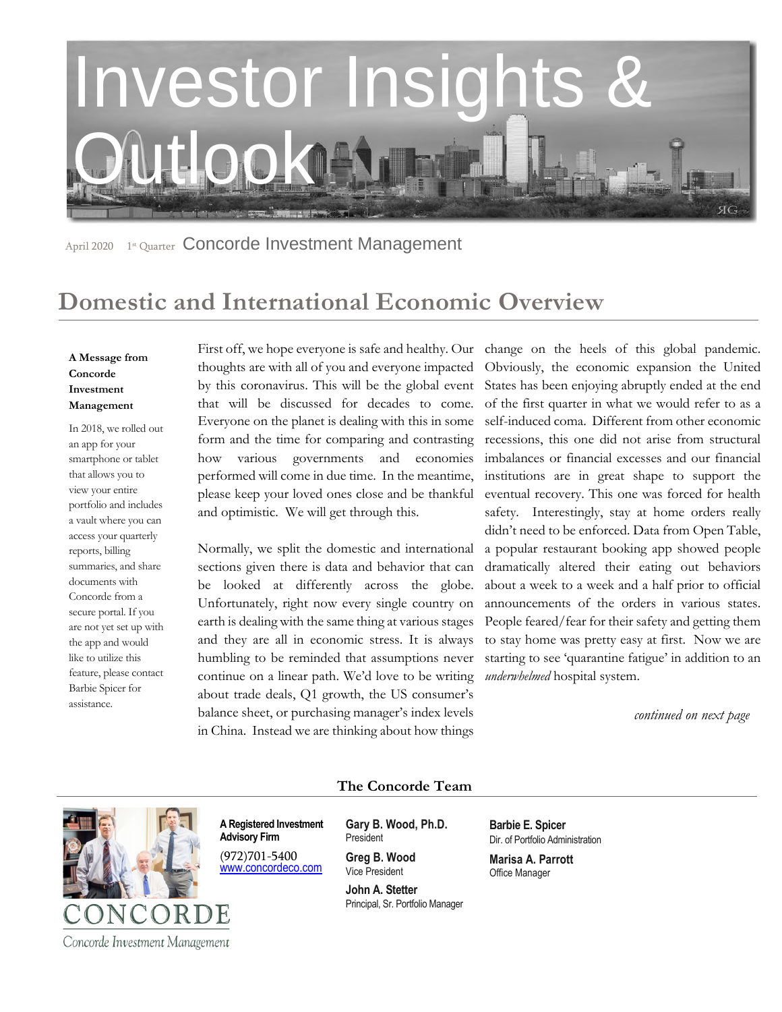

April 2020 1<sup>st</sup> Quarter Concorde Investment Management

# **Domestic and International Economic Overview**

### **A Message from Concorde Investment Management**

In 2018, we rolled out an app for your smartphone or tablet that allows you to view your entire portfolio and includes a vault where you can access your quarterly reports, billing summaries, and share documents with Concorde from a secure portal. If you are not yet set up with the app and would like to utilize this feature, please contact Barbie Spicer for assistance.

thoughts are with all of you and everyone impacted by this coronavirus. This will be the global event that will be discussed for decades to come. Everyone on the planet is dealing with this in some form and the time for comparing and contrasting how various governments and economies performed will come in due time. In the meantime, please keep your loved ones close and be thankful and optimistic. We will get through this.

Normally, we split the domestic and international sections given there is data and behavior that can be looked at differently across the globe. Unfortunately, right now every single country on earth is dealing with the same thing at various stages and they are all in economic stress. It is always humbling to be reminded that assumptions never continue on a linear path. We'd love to be writing about trade deals, Q1 growth, the US consumer's balance sheet, or purchasing manager's index levels in China. Instead we are thinking about how things

First off, we hope everyone is safe and healthy. Our change on the heels of this global pandemic. Obviously, the economic expansion the United States has been enjoying abruptly ended at the end of the first quarter in what we would refer to as a self-induced coma. Different from other economic recessions, this one did not arise from structural imbalances or financial excesses and our financial institutions are in great shape to support the eventual recovery. This one was forced for health safety. Interestingly, stay at home orders really didn't need to be enforced. Data from Open Table, a popular restaurant booking app showed people dramatically altered their eating out behaviors about a week to a week and a half prior to official announcements of the orders in various states. People feared/fear for their safety and getting them to stay home was pretty easy at first. Now we are starting to see 'quarantine fatigue' in addition to an *underwhelmed* hospital system.

 *continued on next page*



**The Concorde Team**

**A Registered Investment Advisory Firm** 

(972)701-5400 [www.concordeco.com](http://www.concordeco.com/) **Gary B. Wood, Ph.D.** President

**Greg B. Wood** Vice President

**John A. Stetter**  Principal, Sr. Portfolio Manager **Barbie E. Spicer**  Dir. of Portfolio Administration

**Marisa A. Parrott** Office Manager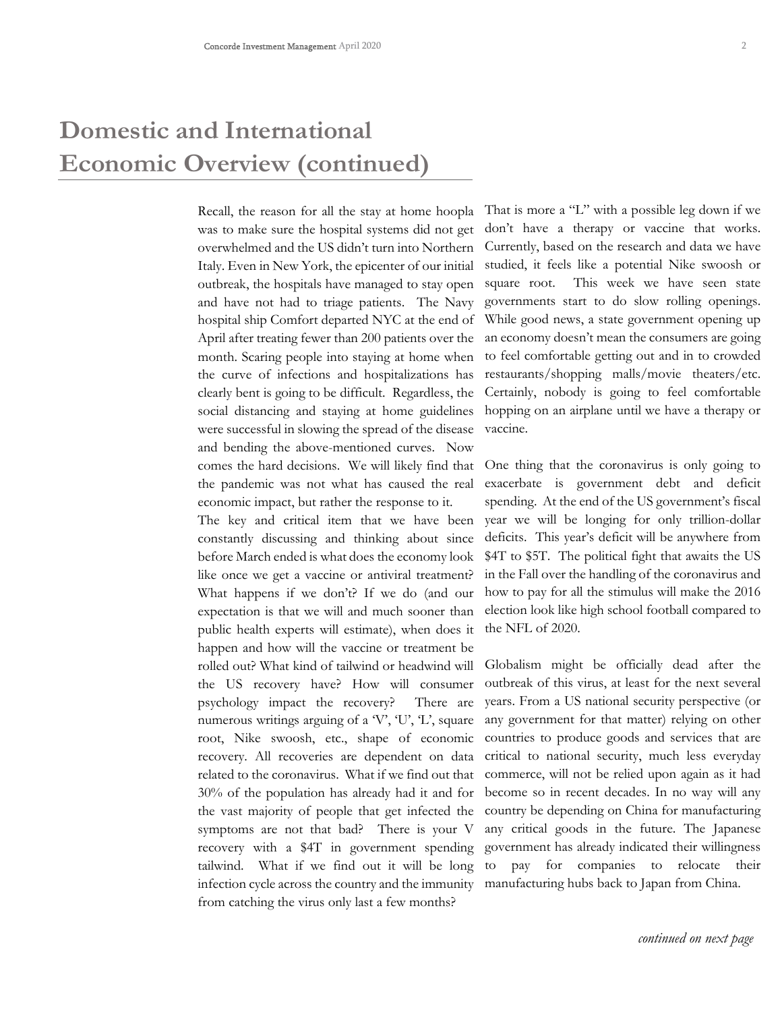# **Domestic and International Economic Overview (continued)**

Recall, the reason for all the stay at home hoopla was to make sure the hospital systems did not get overwhelmed and the US didn't turn into Northern Italy. Even in New York, the epicenter of our initial outbreak, the hospitals have managed to stay open and have not had to triage patients. The Navy hospital ship Comfort departed NYC at the end of April after treating fewer than 200 patients over the month. Scaring people into staying at home when the curve of infections and hospitalizations has clearly bent is going to be difficult. Regardless, the social distancing and staying at home guidelines were successful in slowing the spread of the disease and bending the above-mentioned curves. Now comes the hard decisions. We will likely find that the pandemic was not what has caused the real economic impact, but rather the response to it.

The key and critical item that we have been constantly discussing and thinking about since before March ended is what does the economy look like once we get a vaccine or antiviral treatment? What happens if we don't? If we do (and our expectation is that we will and much sooner than public health experts will estimate), when does it happen and how will the vaccine or treatment be rolled out? What kind of tailwind or headwind will the US recovery have? How will consumer psychology impact the recovery? There are numerous writings arguing of a  $V$ ,  $U$ ,  $L'$ , square root, Nike swoosh, etc., shape of economic recovery. All recoveries are dependent on data related to the coronavirus. What if we find out that 30% of the population has already had it and for the vast majority of people that get infected the symptoms are not that bad? There is your V recovery with a \$4T in government spending tailwind. What if we find out it will be long infection cycle across the country and the immunity from catching the virus only last a few months?

That is more a "L" with a possible leg down if we don't have a therapy or vaccine that works. Currently, based on the research and data we have studied, it feels like a potential Nike swoosh or square root. This week we have seen state governments start to do slow rolling openings. While good news, a state government opening up an economy doesn't mean the consumers are going to feel comfortable getting out and in to crowded restaurants/shopping malls/movie theaters/etc. Certainly, nobody is going to feel comfortable hopping on an airplane until we have a therapy or vaccine.

One thing that the coronavirus is only going to exacerbate is government debt and deficit spending. At the end of the US government's fiscal year we will be longing for only trillion-dollar deficits. This year's deficit will be anywhere from \$4T to \$5T. The political fight that awaits the US in the Fall over the handling of the coronavirus and how to pay for all the stimulus will make the 2016 election look like high school football compared to the NFL of 2020.

Globalism might be officially dead after the outbreak of this virus, at least for the next several years. From a US national security perspective (or any government for that matter) relying on other countries to produce goods and services that are critical to national security, much less everyday commerce, will not be relied upon again as it had become so in recent decades. In no way will any country be depending on China for manufacturing any critical goods in the future. The Japanese government has already indicated their willingness to pay for companies to relocate their manufacturing hubs back to Japan from China.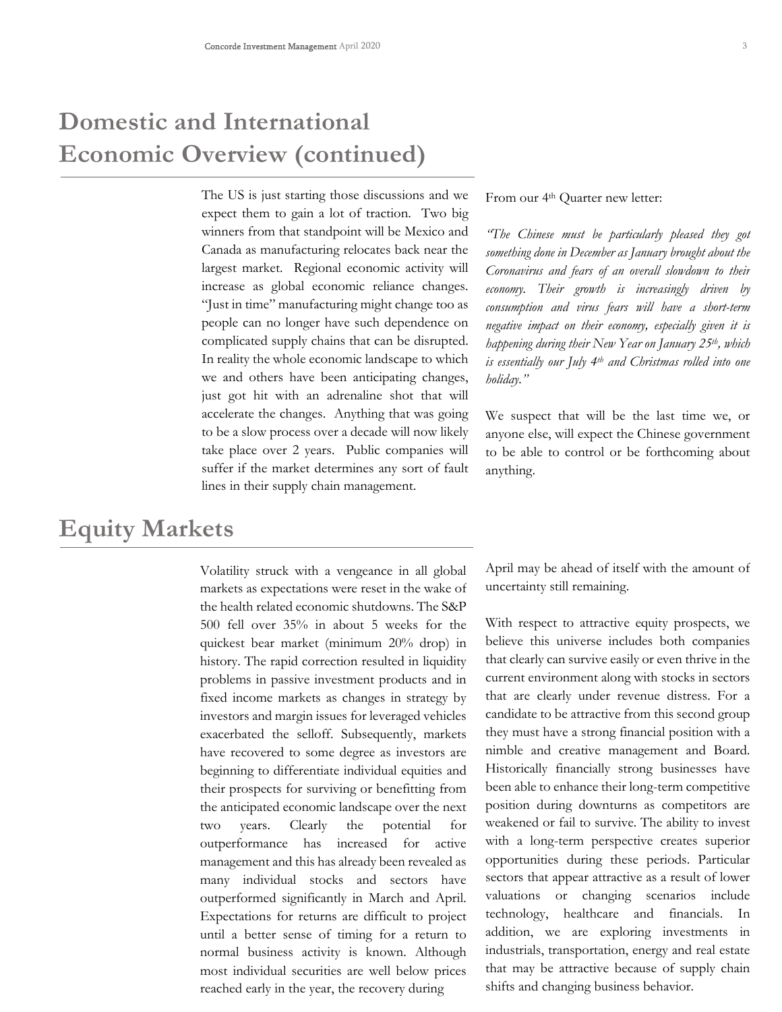# **Domestic and International Economic Overview (continued)**

The US is just starting those discussions and we expect them to gain a lot of traction. Two big winners from that standpoint will be Mexico and Canada as manufacturing relocates back near the largest market. Regional economic activity will increase as global economic reliance changes. "Just in time" manufacturing might change too as people can no longer have such dependence on complicated supply chains that can be disrupted. In reality the whole economic landscape to which we and others have been anticipating changes, just got hit with an adrenaline shot that will accelerate the changes. Anything that was going to be a slow process over a decade will now likely take place over 2 years. Public companies will suffer if the market determines any sort of fault lines in their supply chain management.

## **Equity Markets**

Volatility struck with a vengeance in all global markets as expectations were reset in the wake of the health related economic shutdowns. The S&P 500 fell over 35% in about 5 weeks for the quickest bear market (minimum 20% drop) in history. The rapid correction resulted in liquidity problems in passive investment products and in fixed income markets as changes in strategy by investors and margin issues for leveraged vehicles exacerbated the selloff. Subsequently, markets have recovered to some degree as investors are beginning to differentiate individual equities and their prospects for surviving or benefitting from the anticipated economic landscape over the next two years. Clearly the potential for outperformance has increased for active management and this has already been revealed as many individual stocks and sectors have outperformed significantly in March and April. Expectations for returns are difficult to project until a better sense of timing for a return to normal business activity is known. Although most individual securities are well below prices reached early in the year, the recovery during

From our 4<sup>th</sup> Quarter new letter:

*"The Chinese must be particularly pleased they got something done in December as January brought about the Coronavirus and fears of an overall slowdown to their economy. Their growth is increasingly driven by consumption and virus fears will have a short-term negative impact on their economy, especially given it is happening during their New Year on January 25th, which is essentially our July 4th and Christmas rolled into one holiday."* 

We suspect that will be the last time we, or anyone else, will expect the Chinese government to be able to control or be forthcoming about anything.

April may be ahead of itself with the amount of uncertainty still remaining.

With respect to attractive equity prospects, we believe this universe includes both companies that clearly can survive easily or even thrive in the current environment along with stocks in sectors that are clearly under revenue distress. For a candidate to be attractive from this second group they must have a strong financial position with a nimble and creative management and Board. Historically financially strong businesses have been able to enhance their long-term competitive position during downturns as competitors are weakened or fail to survive. The ability to invest with a long-term perspective creates superior opportunities during these periods. Particular sectors that appear attractive as a result of lower valuations or changing scenarios include technology, healthcare and financials. In addition, we are exploring investments in industrials, transportation, energy and real estate that may be attractive because of supply chain shifts and changing business behavior.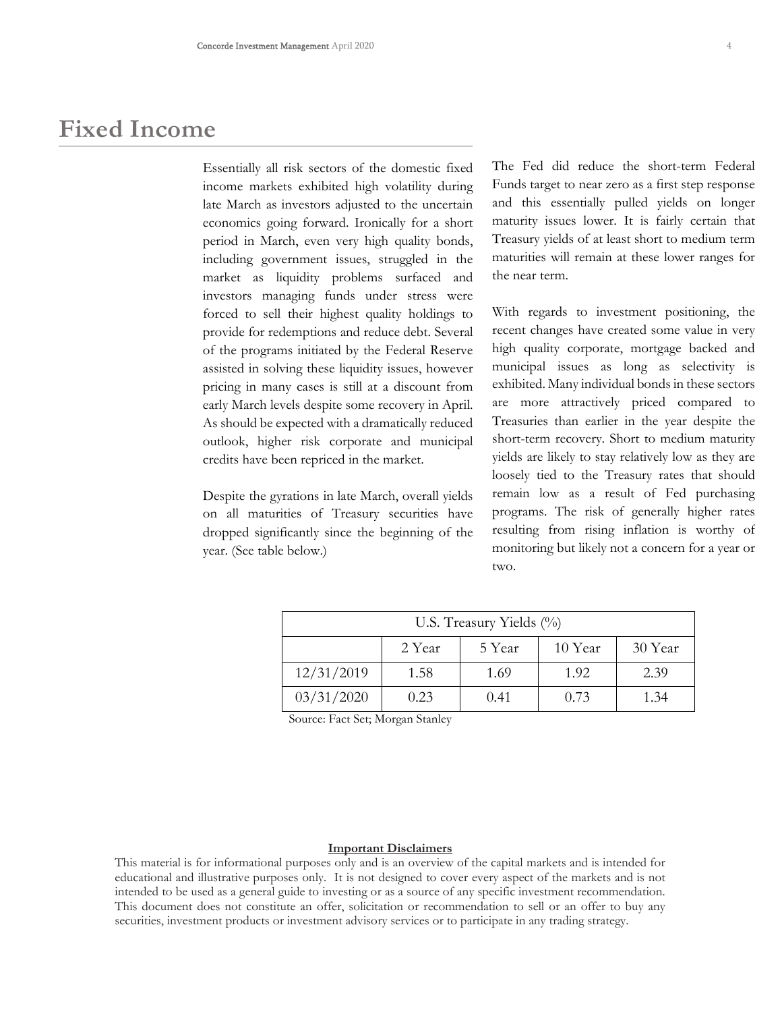## **Fixed Income**

Essentially all risk sectors of the domestic fixed income markets exhibited high volatility during late March as investors adjusted to the uncertain economics going forward. Ironically for a short period in March, even very high quality bonds, including government issues, struggled in the market as liquidity problems surfaced and investors managing funds under stress were forced to sell their highest quality holdings to provide for redemptions and reduce debt. Several of the programs initiated by the Federal Reserve assisted in solving these liquidity issues, however pricing in many cases is still at a discount from early March levels despite some recovery in April. As should be expected with a dramatically reduced outlook, higher risk corporate and municipal credits have been repriced in the market.

Despite the gyrations in late March, overall yields on all maturities of Treasury securities have dropped significantly since the beginning of the year. (See table below.)

The Fed did reduce the short-term Federal Funds target to near zero as a first step response and this essentially pulled yields on longer maturity issues lower. It is fairly certain that Treasury yields of at least short to medium term maturities will remain at these lower ranges for the near term.

With regards to investment positioning, the recent changes have created some value in very high quality corporate, mortgage backed and municipal issues as long as selectivity is exhibited. Many individual bonds in these sectors are more attractively priced compared to Treasuries than earlier in the year despite the short-term recovery. Short to medium maturity yields are likely to stay relatively low as they are loosely tied to the Treasury rates that should remain low as a result of Fed purchasing programs. The risk of generally higher rates resulting from rising inflation is worthy of monitoring but likely not a concern for a year or two.

| U.S. Treasury Yields $(\%)$ |        |        |         |         |
|-----------------------------|--------|--------|---------|---------|
|                             | 2 Year | 5 Year | 10 Year | 30 Year |
| 12/31/2019                  | 1.58   | 1.69   | 1.92    | 2.39    |
| 03/31/2020                  | 0.23   | 0.41   | 0.73    | 1.34    |

Source: Fact Set; Morgan Stanley

#### **Important Disclaimers**

This material is for informational purposes only and is an overview of the capital markets and is intended for educational and illustrative purposes only. It is not designed to cover every aspect of the markets and is not intended to be used as a general guide to investing or as a source of any specific investment recommendation. This document does not constitute an offer, solicitation or recommendation to sell or an offer to buy any securities, investment products or investment advisory services or to participate in any trading strategy.